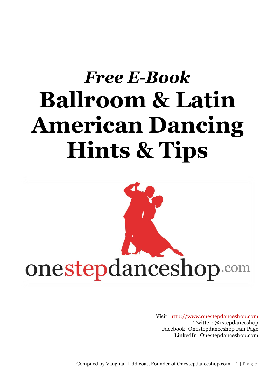# *Free E-Book* **Ballroom & Latin American Dancing Hints & Tips**



Visit: [http://www.onestepdanceshop.com](http://www.onestepdanceshop.com/) Twitter: @1stepdanceshop Facebook: Onestepdanceshop Fan Page LinkedIn: Onestepdanceshop.com

Compiled by Vaughan Liddicoat, Founder of Onestepdanceshop.com  $1 | P a g e$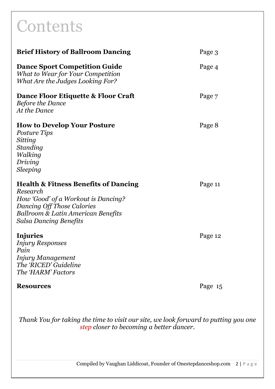## **Contents**

| <b>Brief History of Ballroom Dancing</b>                                                                                                                                                                | Page 3  |
|---------------------------------------------------------------------------------------------------------------------------------------------------------------------------------------------------------|---------|
| <b>Dance Sport Competition Guide</b><br>What to Wear for Your Competition<br>What Are the Judges Looking For?                                                                                           | Page 4  |
| Dance Floor Etiquette & Floor Craft<br><b>Before the Dance</b><br>At the Dance                                                                                                                          | Page 7  |
| <b>How to Develop Your Posture</b><br><i>Posture Tips</i><br>Sitting<br>Standing<br>Walking<br>Driving<br><i>Sleeping</i>                                                                               | Page 8  |
| <b>Health &amp; Fitness Benefits of Dancing</b><br>Research<br>How 'Good' of a Workout is Dancing?<br><b>Dancing Off Those Calories</b><br>Ballroom & Latin American Benefits<br>Salsa Dancing Benefits | Page 11 |
| Injuries<br><b>Injury Responses</b><br>Pain<br><b>Injury Management</b><br>The 'RICED' Guideline<br>The 'HARM' Factors                                                                                  | Page 12 |
| <b>Resources</b>                                                                                                                                                                                        | Page 15 |

*Thank You for taking the time to visit our site, we look forward to putting you one step closer to becoming a better dancer.*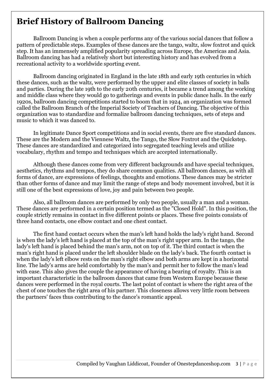## **Brief History of Ballroom Dancing**

Ballroom Dancing is when a couple performs any of the various social dances that follow a pattern of predictable steps. Examples of these dances are the tango, waltz, slow foxtrot and quick step. It has an immensely amplified popularity spreading across Europe, the Americas and Asia. Ballroom dancing has had a relatively short but interesting history and has evolved from a recreational activity to a worldwide sporting event.

Ballroom dancing originated in England in the late 18th and early 19th centuries in which these dances, such as the waltz, were performed by the upper and elite classes of society in balls and parties. During the late 19th to the early 20th centuries, it became a trend among the working and middle class where they would go to gatherings and events in public dance halls. In the early 1920s, ballroom dancing competitions started to boom that in 1924, an organization was formed called the Ballroom Branch of the Imperial Society of Teachers of Dancing. The objective of this organization was to standardize and formalize ballroom dancing techniques, sets of steps and music to which it was danced to.

In legitimate Dance Sport competitions and in social events, there are five standard dances. These are the Modern and the Viennese Waltz, the Tango, the Slow Foxtrot and the Quickstep. These dances are standardized and categorized into segregated teaching levels and utilize vocabulary, rhythm and tempo and techniques which are accepted internationally.

Although these dances come from very different backgrounds and have special techniques, aesthetics, rhythms and tempos, they do share common qualities. All ballroom dances, as with all forms of dance, are expressions of feelings, thoughts and emotions. These dances may be stricter than other forms of dance and may limit the range of steps and body movement involved, but it is still one of the best expressions of love, joy and pain between two people.

Also, all ballroom dances are performed by only two people, usually a man and a woman. These dances are performed in a certain position termed as the "Closed Hold". In this position, the couple strictly remains in contact in five different points or places. These five points consists of three hand contacts, one elbow contact and one chest contact.

The first hand contact occurs when the man's left hand holds the lady's right hand. Second is when the lady's left hand is placed at the top of the man's right upper arm. In the tango, the lady's left hand is placed behind the man's arm, not on top of it. The third contact is when the man's right hand is placed under the left shoulder blade on the lady's back. The fourth contact is when the lady's left elbow rests on the man's right elbow and both arms are kept in a horizontal line. The lady's arms are held comfortably by the man's and permit her to follow the man's lead with ease. This also gives the couple the appearance of having a bearing of royalty. This is an important characteristic in the ballroom dances that came from Western Europe because these dances were performed in the royal courts. The last point of contact is where the right area of the chest of one touches the right area of his partner. This closeness allows very little room between the partners' faces thus contributing to the dance's romantic appeal.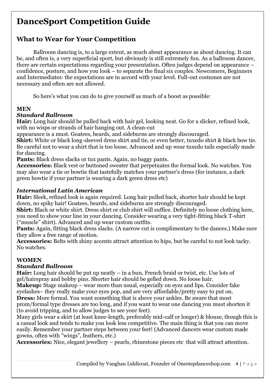## **DanceSport Competition Guide**

## **What to Wear for Your Competition**

Ballroom dancing is, to a large extent, as much about appearance as about dancing. It can be, and often is, a very superficial sport, but obviously is still extremely fun. As a ballroom dancer, there are certain expectations regarding your presentation. Often judges depend on appearance – confidence, posture, and how you look – to separate the final six couples. Newcomers, Beginners and Intermediates: the expectations are in accord with your level. Full-out costumes are not necessary and often are not allowed.

So here's what you can do to give yourself as much of a boost as possible:

#### **MEN**

#### *Standard Ballroom*

**Hair:** Long hair should be pulled back with hair gel, looking neat. Go for a slicker, refined look, with no wisps or strands of hair hanging out. A clean-cut

appearance is a must. Goatees, beards, and sideburns are strongly discouraged.

**Shirt:** White or black long-sleeved dress shirt and tie, or even better, tuxedo shirt & black bow tie. Be careful not to wear a shirt that is too loose. Advanced and up wear tuxedo tails especially made for dancing.

**Pants:** Black dress slacks or tux pants. Again, no baggy pants.

**Accessories:** Black vest or buttoned sweater that perpetuates the formal look. No watches. You may also wear a tie or bowtie that tastefully matches your partner's dress (for instance, a dark green bowtie if your partner is wearing a dark green dress etc)

#### *International Latin American*

**Hair:** Sleek, refined look is again required. Long hair pulled back, shorter hair should be kept down, no spiky hair! Goatees, beards, and sideburns are strongly discouraged.

**Shirt:** Black or white shirt. Dress shirt or club shirt will suffice. Definitely no loose clothing here, you need to show your line in your dancing. Consider wearing a very tight-fitting black T-shirt ("muscle" shirt). Advanced and up wear custom outfits.

Pants: Again, fitting black dress slacks. (A narrow cut is complimentary to the dances.) Make sure they allow a free range of motion.

**Accessories:** Belts with shiny accents attract attention to hips, but be careful to not look tacky. No watches.

#### **WOMEN**

#### *Standard Ballroom*

**Hair:** Long hair should be put up neatly – in a bun, French braid or twist, etc. Use lots of gel/hairspray and bobby pins. Shorter hair should be gelled down. No loose hair.

**Makeup:** Stage makeup – wear more than usual, especially on eyes and lips. Consider fake eyelashes– they really make your eyes pop, and are very affordable/pretty easy to put on. **Dress:** More formal. You want something that is above your ankles. Be aware that most prom/formal type dresses are too long, and if you want to wear one dancing you must shorten it (to avoid tripping, and to allow judges to see your feet).

Many girls wear a skirt (at least knee-length, preferably mid-calf or longer) & blouse, though this is a casual look and tends to make you look less competitive. The main thing is that you can move easily. Remember your partner steps between your feet! (Advanced dancers wear custom made gowns, often with "wings", feathers, etc.)

**Accessories:** Nice, elegant jewellery – pearls, rhinestone pieces etc that will attract attention.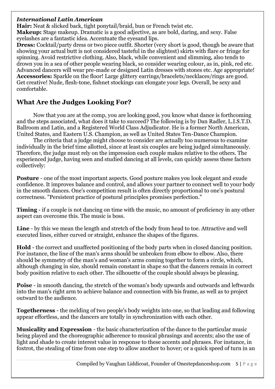#### *International Latin American*

**Hair:** Neat & slicked back, tight ponytail/braid, bun or French twist etc. **Makeup:** Stage makeup. Dramatic is a good adjective, as are bold, daring, and sexy. False

eyelashes are a fantastic idea. Accentuate the eyesand lips. **Dress:** Cocktail/party dress or two piece outfit. Shorter (very short is good, though be aware that showing your actual butt is not considered tasteful in the slightest) skirts with flare or fringe for

spinning. Avoid restrictive clothing. Also, black, while convenient and slimming, also tends to drown you in a sea of other people wearing black, so consider wearing colour, as in, pink, red etc. Advanced dancers will wear pre-made or designed Latin dresses with stones etc. Age appropriate! **Accessories:** Sparkle on the floor! Large glittery earrings/bracelets/necklaces/rings are good. Get creative! Nude, flesh-tone, fishnet stockings can elongate your legs. Overall, be sexy and comfortable.

#### **What Are the Judges Looking For?**

Now that you are at the comp, you are looking good, you know what dance is forthcoming and the steps associated, what does it take to succeed? The following is by Dan Radler, L.I.S.T.D. Ballroom and Latin, and a Registered World Class Adjudicator. He is a former North American, United States, and Eastern U.S. Champion, as well as United States Ten-Dance Champion.

The criteria that a judge might choose to consider are actually too numerous to examine individually in the brief time allotted, since at least six couples are being judged simultaneously. Therefore, the judge must rely on the impression each couple makes relative to the others. The experienced judge, having seen and studied dancing at all levels, can quickly assess these factors collectively:

**Posture** - one of the most important aspects. Good posture makes you look elegant and exude confidence. It improves balance and control, and allows your partner to connect well to your body in the smooth dances. One's competition result is often directly proportional to one's postural correctness. "Persistent practice of postural principles promises perfection."

**Timing** - if a couple is not dancing on time with the music, no amount of proficiency in any other aspect can overcome this. The music is boss.

**Line** - by this we mean the length and stretch of the body from head to toe. Attractive and well executed lines, either curved or straight, enhance the shapes of the figures.

**Hold** - the correct and unaffected positioning of the body parts when in closed dancing position. For instance, the line of the man's arms should be unbroken from elbow to elbow. Also, there should be symmetry of the man's and woman's arms coming together to form a circle, which, although changing in size, should remain constant in shape so that the dancers remain in correct body position relative to each other. The silhouette of the couple should always be pleasing.

**Poise** - in smooth dancing, the stretch of the woman's body upwards and outwards and leftwards into the man's right arm to achieve balance and connection with his frame, as well as to project outward to the audience.

**Togetherness** - the melding of two people's body weights into one, so that leading and following appear effortless, and the dancers are totally in synchronization with each other.

**Musicality and Expression** - the basic characterization of the dance to the particular music being played and the choreographic adherence to musical phrasings and accents; also the use of light and shade to create interest value in response to these accents and phrases. For instance, in foxtrot, the stealing of time from one step to allow another to hover; or a quick speed of turn in an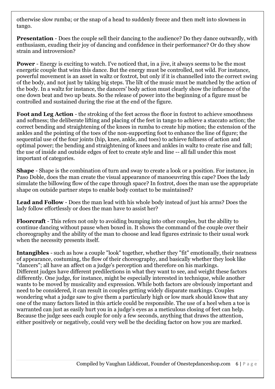otherwise slow rumba; or the snap of a head to suddenly freeze and then melt into slowness in tango.

**Presentation** - Does the couple sell their dancing to the audience? Do they dance outwardly, with enthusiasm, exuding their joy of dancing and confidence in their performance? Or do they show strain and introversion?

**Power** - Energy is exciting to watch. I've noticed that, in a jive, it always seems to be the most energetic couple that wins this dance. But the energy must be controlled, not wild. For instance, powerful movement is an asset in waltz or foxtrot, but only if it is channelled into the correct swing of the body, and not just by taking big steps. The lilt of the music must be matched by the action of the body. In a waltz for instance, the dancers' body action must clearly show the influence of the one down beat and two up beats. So the release of power into the beginning of a figure must be controlled and sustained during the rise at the end of the figure.

**Foot and Leg Action** - the stroking of the feet across the floor in foxtrot to achieve smoothness and softness; the deliberate lifting and placing of the feet in tango to achieve a staccato action; the correct bending and straightening of the knees in rumba to create hip motion; the extension of the ankles and the pointing of the toes of the non-supporting foot to enhance the line of figure; the sequential use of the four joints (hip, knee, ankle, and toes) to achieve fullness of action and optimal power; the bending and straightening of knees and ankles in waltz to create rise and fall; the use of inside and outside edges of feet to create style and line -- all fall under this most important of categories.

**Shape** - Shape is the combination of turn and sway to create a look or a position. For instance, in Paso Doble, does the man create the visual appearance of manoeuvring this cape? Does the lady simulate the billowing flow of the cape through space? In foxtrot, does the man use the appropriate shape on outside partner steps to enable body contact to be maintained?

**Lead and Follow** - Does the man lead with his whole body instead of just his arms? Does the lady follow effortlessly or does the man have to assist her?

**Floorcraft** - This refers not only to avoiding bumping into other couples, but the ability to continue dancing without pause when boxed in. It shows the command of the couple over their choreography and the ability of the man to choose and lead figures extrinsic to their usual work when the necessity presents itself.

**Intangibles** - such as how a couple "look" together, whether they "fit" emotionally, their neatness of appearance, costuming, the flow of their choreography, and basically whether they look like "dancers"; all have an affect on a judge's perception and therefore on his markings. Different judges have different predilections in what they want to see, and weight these factors differently. One judge, for instance, might be especially interested in technique, while another wants to be moved by musicality and expression. While both factors are obviously important and need to be considered, it can result in couples getting widely disparate markings. Couples wondering what a judge saw to give them a particularly high or low mark should know that any one of the many factors listed in this article could be responsible. The use of a heel when a toe is warranted can just as easily hurt you in a judge's eyes as a meticulous closing of feet can help. Because the judge sees each couple for only a few seconds, anything that draws the attention, either positively or negatively, could very well be the deciding factor on how you are marked.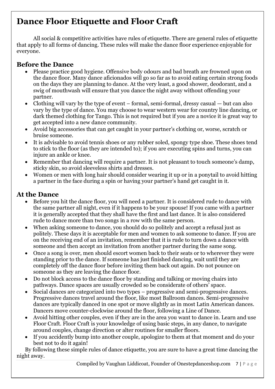## **Dance Floor Etiquette and Floor Craft**

All social & competitive activities have rules of etiquette. There are general rules of etiquette that apply to all forms of dancing. These rules will make the dance floor experience enjoyable for everyone.

#### **Before the Dance**

- Please practice good hygiene. Offensive body odours and bad breath are frowned upon on the dance floor. Many dance aficionados will go so far as to avoid eating certain strong foods on the days they are planning to dance. At the very least, a good shower, deodorant, and a swig of mouthwash will ensure that you dance the night away without offending your partner.
- Clothing will vary by the type of event formal, semi-formal, dressy casual but can also vary by the type of dance. You may choose to wear western wear for country line dancing, or dark themed clothing for Tango. This is not required but if you are a novice it is great way to get accepted into a new dance community.
- Avoid big accessories that can get caught in your partner's clothing or, worse, scratch or bruise someone.
- It is advisable to avoid tennis shoes or any rubber soled, spongy type shoe. These shoes tend to stick to the floor (as they are intended to); if you are executing spins and turns, you can injure an ankle or knee.
- Remember that dancing will require a partner. It is not pleasant to touch someone's damp, sticky skin, so avoid sleeveless shirts and dresses.
- Women or men with long hair should consider wearing it up or in a ponytail to avoid hitting a partner in the face during a spin or having your partner's hand get caught in it.

#### **At the Dance**

- Before you hit the dance floor, you will need a partner. It is considered rude to dance with the same partner all night, even if it happens to be your spouse! If you came with a partner it is generally accepted that they shall have the first and last dance. It is also considered rude to dance more than two songs in a row with the same person.
- When asking someone to dance, you should do so politely and accept a refusal just as politely. These days it is acceptable for men and women to ask someone to dance. If you are on the receiving end of an invitation, remember that it is rude to turn down a dance with someone and then accept an invitation from another partner during the same song.
- Once a song is over, men should escort women back to their seats or to wherever they were standing prior to the dance. If someone has just finished dancing, wait until they are completely off the dance floor before inviting them back out again. Do not pounce on someone as they are leaving the dance floor.
- Do not block access to the dance floor by standing and talking or moving chairs into pathways. Dance spaces are usually crowded so be considerate of others' space.
- Social dances are categorized into two types progressive and semi-progressive dances. Progressive dances travel around the floor, like most Ballroom dances. Semi-progressive dances are typically danced in one spot or move slightly as in most Latin American dances. Dancers move counter-clockwise around the floor, following a Line of Dance.
- Avoid hitting other couples, even if they are in the area you want to dance in. Learn and use Floor Craft. Floor Craft is your knowledge of using basic steps, in any dance, to navigate around couples, change direction or alter routines for smaller floors.
- If you accidently bump into another couple, apologize to them at that moment and do your best not to do it again!

By following these simple rules of dance etiquette, you are sure to have a great time dancing the night away.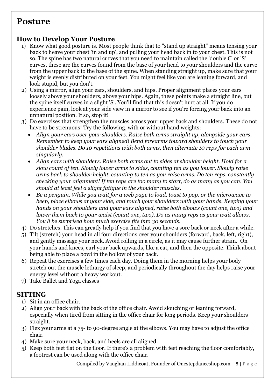## **Posture**

#### **How to Develop Your Posture**

- 1) Know what good posture is. Most people think that to "stand up straight" means tensing your back to heave your chest 'in and up', and pulling your head back in to your chest. This is not so. The spine has two natural curves that you need to maintain called the 'double C' or 'S' curves, these are the curves found from the base of your head to your shoulders and the curve from the upper back to the base of the spine. When standing straight up, make sure that your weight is evenly distributed on your feet. You might feel like you are leaning forward, and look stupid, but you don't.
- 2) Using a mirror, align your ears, shoulders, and hips. Proper alignment places your ears loosely above your shoulders, above your hips. Again, these points make a straight line, but the spine itself curves in a slight 'S'. You'll find that this doesn't hurt at all. If you do experience pain, look at your side view in a mirror to see if you're forcing your back into an unnatural position. If so, stop it!
- 3) Do exercises that strengthen the muscles across your upper back and shoulders. These do not have to be strenuous! Try the following, with or without hand weights:
	- *Align your ears over your shoulders. Raise both arms straight up, alongside your ears. Remember to keep your ears aligned! Bend forearms toward shoulders to touch your shoulder blades. Do 10 repetitions with both arms, then alternate 10 reps for each arm singularly.*
	- *Align ears with shoulders. Raise both arms out to sides at shoulder height. Hold for a slow count of ten. Slowly lower arms to sides, counting ten as you lower. Slowly raise arms back to shoulder height, counting to ten as you raise arms. Do ten reps, constantly checking your alignment! If ten reps are too many to start, do as many as you can. You should at least feel a slight fatigue in the shoulder muscles.*
	- *Be a penguin. While you wait for a web page to load, toast to pop, or the microwave to beep, place elbows at your side, and touch your shoulders with your hands. Keeping your hands on your shoulders and your ears aligned, raise both elbows (count one, two) and lower them back to your waist (count one, two). Do as many reps as your wait allows. You'll be surprised how much exercise fits into 30 seconds.*
- 4) Do stretches. This can greatly help if you find that you have a sore back or neck after a while.
- 5) Tilt (stretch) your head in all four directions over your shoulders (forward, back, left, right), and gently massage your neck. Avoid rolling in a circle, as it may cause further strain. On your hands and knees, curl your back upwards, like a cat, and then the opposite. Think about being able to place a bowl in the hollow of your back.
- 6) Repeat the exercises a few times each day. Doing them in the morning helps your body stretch out the muscle lethargy of sleep, and periodically throughout the day helps raise your energy level without a heavy workout.
- 7) Take Ballet and Yoga classes

#### **SITTING**

- 1) Sit in an office chair.
- 2) Align your back with the back of the office chair. Avoid slouching or leaning forward, especially when tired from sitting in the office chair for long periods. Keep your shoulders straight.
- 3) Flex your arms at a 75- to 90-degree angle at the elbows. You may have to adjust the office chair.
- 4) Make sure your neck, back, and heels are all aligned.
- 5) Keep both feet flat on the floor. If there's a problem with feet reaching the floor comfortably, a footrest can be used along with the office chair.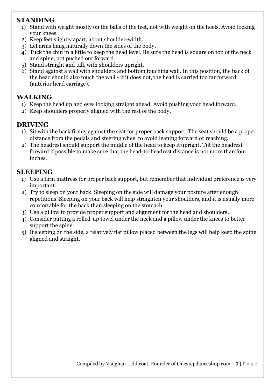#### **STANDING**

- 1) Stand with weight mostly on the balls of the feet, not with weight on the heels. Avoid locking your knees.
- 2) Keep feet slightly apart, about shoulder-width.
- 3) Let arms hang naturally down the sides of the body.
- 4) Tuck the chin in a little to keep the head level. Be sure the head is square on top of the neck and spine, not pushed out forward
- 5) Stand straight and tall, with shoulders upright.
- 6) Stand against a wall with shoulders and bottom touching wall. In this position, the back of the head should also touch the wall - if it does not, the head is carried too far forward (anterior head carriage).

#### **WALKING**

- 1) Keep the head up and eyes looking straight ahead. Avoid pushing your head forward.
- 2) Keep shoulders properly aligned with the rest of the body.

#### **DRIVING**

- 1) Sit with the back firmly against the seat for proper back support. The seat should be a proper distance from the pedals and steering wheel to avoid leaning forward or reaching.
- 2) The headrest should support the middle of the head to keep it upright. Tilt the headrest forward if possible to make sure that the head-to-headrest distance is not more than four inches.

#### **SLEEPING**

- 1) Use a firm mattress for proper back support, but remember that individual preference is very important.
- 2) Try to sleep on your back. Sleeping on the side will damage your posture after enough repetitions. Sleeping on your back will help straighten your shoulders, and it is usually more comfortable for the back than sleeping on the stomach.
- 3) Use a pillow to provide proper support and alignment for the head and shoulders.
- 4) Consider putting a rolled-up towel under the neck and a pillow under the knees to better support the spine.
- 5) If sleeping on the side, a relatively flat pillow placed between the legs will help keep the spine aligned and straight.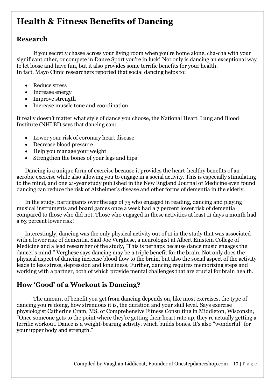## **Health & Fitness Benefits of Dancing**

#### **Research**

If you secretly chasse across your living room when you're home alone, cha-cha with your significant other, or compete in Dance Sport you're in luck! Not only is dancing an exceptional way to let loose and have fun, but it also provides some terrific benefits for your health. In fact, Mayo Clinic researchers reported that social dancing helps to:

- Reduce stress
- Increase energy
- Improve strength
- Increase muscle tone and coordination

It really doesn't matter what style of dance you choose, the National Heart, Lung and Blood Institute (NHLBI) says that dancing can:

- Lower your risk of coronary heart disease
- Decrease blood pressure
- Help you manage your weight
- Strengthen the bones of your legs and hips

Dancing is a unique form of exercise because it provides the heart-healthy benefits of an aerobic exercise while also allowing you to engage in a social activity. This is especially stimulating to the mind, and one 21-year study published in the New England Journal of Medicine even found dancing can reduce the risk of Alzheimer's disease and other forms of dementia in the elderly.

In the study, participants over the age of 75 who engaged in reading, dancing and playing musical instruments and board games once a week had a 7 percent lower risk of dementia compared to those who did not. Those who engaged in these activities at least 11 days a month had a 63 percent lower risk!

Interestingly, dancing was the only physical activity out of 11 in the study that was associated with a lower risk of dementia. Said Joe Verghese, a neurologist at Albert Einstein College of Medicine and a lead researcher of the study, "This is perhaps because dance music engages the dancer's mind." Verghese says dancing may be a triple benefit for the brain. Not only does the physical aspect of dancing increase blood flow to the brain, but also the social aspect of the activity leads to less stress, depression and loneliness. Further, dancing requires memorizing steps and working with a partner, both of which provide mental challenges that are crucial for brain health.

#### **How 'Good' of a Workout is Dancing?**

The amount of benefit you get from dancing depends on, like most exercises, the type of dancing you're doing, how strenuous it is, the duration and your skill level. Says exercise physiologist Catherine Cram, MS, of Comprehensive Fitness Consulting in Middleton, Wisconsin, "Once someone gets to the point where they're getting their heart rate up, they're actually getting a terrific workout. Dance is a weight-bearing activity, which builds bones. It's also "wonderful" for your upper body and strength."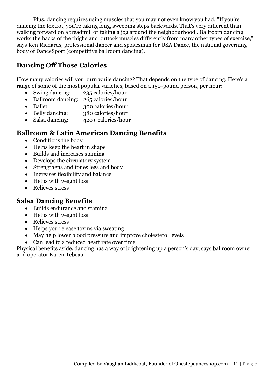Plus, dancing requires using muscles that you may not even know you had. "If you're dancing the foxtrot, you're taking long, sweeping steps backwards. That's very different than walking forward on a treadmill or taking a jog around the neighbourhood...Ballroom dancing works the backs of the thighs and buttock muscles differently from many other types of exercise," says Ken Richards, professional dancer and spokesman for USA Dance, the national governing body of DanceSport (competitive ballroom dancing).

#### **Dancing Off Those Calories**

How many calories will you burn while dancing? That depends on the type of dancing. Here's a range of some of the most popular varieties, based on a 150-pound person, per hour:

- Swing dancing: 235 calories/hour
- Ballroom dancing: 265 calories/hour
- Ballet: 300 calories/hour
- Belly dancing: 380 calories/hour
- Salsa dancing: 420+ calories/hour

#### **Ballroom & Latin American Dancing Benefits**

- Conditions the body
- Helps keep the heart in shape
- Builds and increases stamina
- Develops the circulatory system
- Strengthens and tones legs and body
- Increases flexibility and balance
- Helps with weight loss
- Relieves stress

#### **Salsa Dancing Benefits**

- Builds endurance and stamina
- Helps with weight loss
- Relieves stress
- Helps you release toxins via sweating
- May help lower blood pressure and improve cholesterol levels
- Can lead to a reduced heart rate over time

Physical benefits aside, dancing has a way of brightening up a person's day, says ballroom owner and operator Karen Tebeau.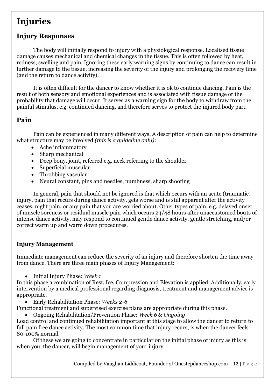## **Injuries**

#### **Injury Responses**

The body will initially respond to injury with a physiological response. Localised tissue damage causes mechanical and chemical changes in the tissue. This is often followed by heat, redness, swelling and pain. Ignoring these early warning signs by continuing to dance can result in further damage to the tissue, increasing the severity of the injury and prolonging the recovery time (and the return to dance activity).

It is often difficult for the dancer to know whether it is ok to continue dancing. Pain is the result of both sensory and emotional experiences and is associated with tissue damage or the probability that damage will occur. It serves as a warning sign for the body to withdraw from the painful stimulus, e.g. continued dancing, and therefore serves to protect the injured body part.

#### **Pain**

Pain can be experienced in many different ways. A description of pain can help to determine what structure may be involved *(this is a guideline only)*:

- Ache inflammatory
- Sharp mechanical
- Deep bony, joint, referred e.g. neck referring to the shoulder
- Superficial muscular
- Throbbing vascular
- Neural constant, pins and needles, numbness, sharp shooting

In general, pain that should not be ignored is that which occurs with an acute (traumatic) injury, pain that recurs during dance activity, gets worse and is still apparent after the activity ceases, night pain, or any pain that you are worried about. Other types of pain, e.g. delayed onset of muscle soreness or residual muscle pain which occurs 24/48 hours after unaccustomed bouts of intense dance activity, may respond to continued gentle dance activity, gentle stretching, and/or correct warm up and warm down procedures.

#### **Injury Management**

Immediate management can reduce the severity of an injury and therefore shorten the time away from dance. There are three main phases of Injury Management:

Initial Injury Phase: *Week 1*

In this phase a combination of Rest, Ice, Compression and Elevation is applied. Additionally, early intervention by a medical professional regarding diagnosis, treatment and management advice is appropriate.

Early Rehabilitation Phase: *Weeks 2-6*

Functional treatment and supervised exercise plans are appropriate during this phase.

Ongoing Rehabilitation/Prevention Phase: *Week 6 & Ongoing*

Load control and continued rehabilitation important at this stage to allow the dancer to return to full pain free dance activity. The most common time that injury recurs, is when the dancer feels 80-100% normal.

Of these we are going to concentrate in particular on the initial phase of injury as this is when you, the dancer, will begin management of your injury.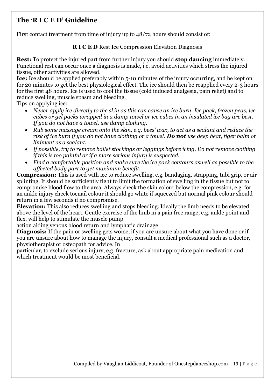#### **The 'R I C E D' Guideline**

First contact treatment from time of injury up to 48/72 hours should consist of:

#### **R I C E D** Rest Ice Compression Elevation Diagnosis

**Rest:** To protect the injured part from further injury you should **stop dancing** immediately. Functional rest can occur once a diagnosis is made, i.e. avoid activities which stress the injured tissue, other activities are allowed.

**Ice:** Ice should be applied preferably within 5-10 minutes of the injury occurring, and be kept on for 20 minutes to get the best physiological effect. The ice should then be reapplied every 2-3 hours for the first 48 hours. Ice is used to cool the tissue (cold induced analgesia, pain relief) and to reduce swelling, muscle spasm and bleeding.

Tips on applying ice:

- *Never apply ice directly to the skin as this can cause an ice burn. Ice pack, frozen peas, ice cubes or gel packs wrapped in a damp towel or ice cubes in an insulated ice bag are best. If you do not have a towel, use damp clothing.*
- *Rub some massage cream onto the skin, e.g. bees' wax, to act as a sealant and reduce the risk of ice burn if you do not have clothing or a towel. Do not use deep heat, tiger balm or liniment as a sealant.*
- *If possible, try to remove ballet stockings or leggings before icing. Do not remove clothing if this is too painful or if a more serious injury is suspected.*
- *Find a comfortable position and make sure the ice pack contours aswell as possible to the affected body part to get maximum benefit.*

**Compression:** This is used with ice to reduce swelling, e.g. bandaging, strapping, tubi grip, or air splinting. It should be sufficiently tight to limit the formation of swelling in the tissue but not to compromise blood flow to the area. Always check the skin colour below the compression, e.g. for an ankle injury check toenail colour it should go white if squeezed but normal pink colour should return in a few seconds if no compromise.

**Elevation:** This also reduces swelling and stops bleeding. Ideally the limb needs to be elevated above the level of the heart. Gentle exercise of the limb in a pain free range, e.g. ankle point and flex, will help to stimulate the muscle pump

action aiding venous blood return and lymphatic drainage.

**Diagnosis:** If the pain or swelling gets worse, if you are unsure about what you have done or if you are unsure about how to manage the injury, consult a medical professional such as a doctor, physiotherapist or osteopath for advice. In

particular, to exclude serious injury, e.g. fracture, ask about appropriate pain medication and which treatment would be most beneficial.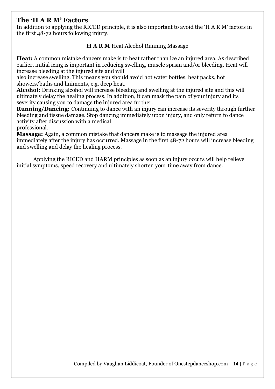#### **The 'H A R M' Factors**

In addition to applying the RICED principle, it is also important to avoid the 'H A R M' factors in the first 48-72 hours following injury.

#### **H A R M** Heat Alcohol Running Massage

**Heat:** A common mistake dancers make is to heat rather than ice an injured area. As described earlier, initial icing is important in reducing swelling, muscle spasm and/or bleeding. Heat will increase bleeding at the injured site and will

also increase swelling. This means you should avoid hot water bottles, heat packs, hot showers/baths and liniments, e.g. deep heat.

**Alcohol:** Drinking alcohol will increase bleeding and swelling at the injured site and this will ultimately delay the healing process. In addition, it can mask the pain of your injury and its severity causing you to damage the injured area further.

**Running/Dancing:** Continuing to dance with an injury can increase its severity through further bleeding and tissue damage. Stop dancing immediately upon injury, and only return to dance activity after discussion with a medical

professional.

**Massage:** Again, a common mistake that dancers make is to massage the injured area immediately after the injury has occurred. Massage in the first 48-72 hours will increase bleeding and swelling and delay the healing process.

Applying the RICED and HARM principles as soon as an injury occurs will help relieve initial symptoms, speed recovery and ultimately shorten your time away from dance.